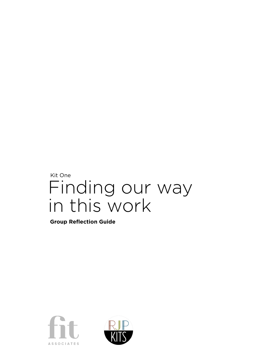# Kit One Finding our way in this work

**Group Reflection Guide**



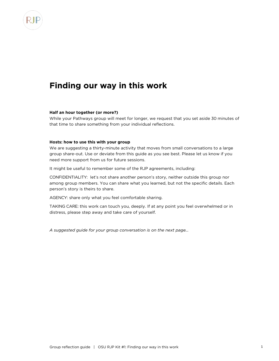# **Finding our way in this work**

## **Half an hour together (or more?)**

While your Pathways group will meet for longer, we request that you set aside 30 minutes of that time to share something from your individual reflections.

### **Hosts: how to use this with your group**

We are suggesting a thirty-minute activity that moves from small conversations to a large group share-out. Use or deviate from this guide as you see best. Please let us know if you need more support from us for future sessions.

It might be useful to remember some of the RJP agreements, including:

CONFIDENTIALITY: let's not share another person's story, neither outside this group nor among group members. You can share what you learned, but not the specific details. Each person's story is theirs to share.

AGENCY: share only what you feel comfortable sharing.

TAKING CARE: this work can touch you, deeply. If at any point you feel overwhelmed or in distress, please step away and take care of yourself.

*A suggested guide for your group conversation is on the next page…*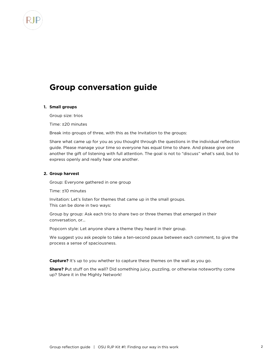# **Group conversation guide**

#### **1. Small groups**

Group size: trios

Time: ±20 minutes

Break into groups of three, with this as the Invitation to the groups:

Share what came up for you as you thought through the questions in the individual reflection guide. Please manage your time so everyone has equal time to share. And please give one another the gift of listening with full attention. The goal is not to "discuss" what's said, but to express openly and really hear one another.

## **2. Group harvest**

Group: Everyone gathered in one group

Time: ±10 minutes

Invitation: Let's listen for themes that came up in the small groups. This can be done in two ways:

Group by group: Ask each trio to share two or three themes that emerged in their conversation, or…

Popcorn style: Let anyone share a theme they heard in their group.

We suggest you ask people to take a ten-second pause between each comment, to give the process a sense of spaciousness.

**Capture?** It's up to you whether to capture these themes on the wall as you go.

**Share?** Put stuff on the wall? Did something juicy, puzzling, or otherwise noteworthy come up? Share it in the Mighty Network!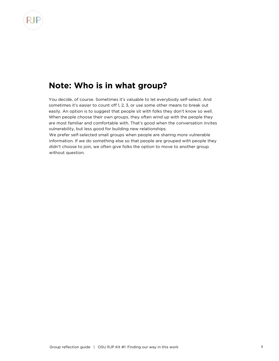

# **Note: Who is in what group?**

You decide, of course. Sometimes it's valuable to let everybody self-select. And sometimes it's easier to count off 1, 2, 3, or use some other means to break out easily. An option is to suggest that people sit with folks they don't know so well. When people choose their own groups, they often wind up with the people they are most familiar and comfortable with. That's good when the conversation invites vulnerability, but less good for building new relationships.

We prefer self-selected small groups when people are sharing more vulnerable information. If we do something else so that people are grouped with people they didn't choose to join, we often give folks the option to move to another group without question.